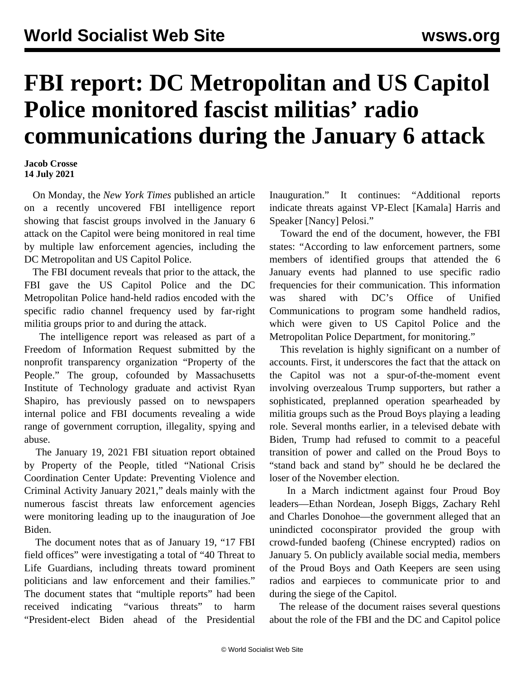## **FBI report: DC Metropolitan and US Capitol Police monitored fascist militias' radio communications during the January 6 attack**

**Jacob Crosse 14 July 2021**

 On Monday, the *New York Times* published an article on a recently uncovered FBI intelligence report showing that fascist groups involved in the January 6 attack on the Capitol were being monitored in real time by multiple law enforcement agencies, including the DC Metropolitan and US Capitol Police.

 The [FBI document](https://propertyofthepeople.org/document-detail/?doc-id=20988169) reveals that prior to the attack, the FBI gave the US Capitol Police and the DC Metropolitan Police hand-held radios encoded with the specific radio channel frequency used by far-right militia groups prior to and during the attack.

 The intelligence report was released as part of a Freedom of Information Request submitted by the nonprofit transparency organization "Property of the People." The group, cofounded by Massachusetts Institute of Technology graduate and activist Ryan Shapiro, has previously passed on to newspapers internal police and FBI documents revealing a wide range of government corruption, illegality, spying and abuse.

 The January 19, 2021 FBI situation report obtained by Property of the People, titled "National Crisis Coordination Center Update: Preventing Violence and Criminal Activity January 2021," deals mainly with the numerous fascist threats law enforcement agencies were monitoring leading up to the inauguration of Joe Biden.

 The document notes that as of January 19, "17 FBI field offices" were investigating a total of "40 Threat to Life Guardians, including threats toward prominent politicians and law enforcement and their families." The document states that "multiple reports" had been received indicating "various threats" to harm "President-elect Biden ahead of the Presidential Inauguration." It continues: "Additional reports indicate threats against VP-Elect [Kamala] Harris and Speaker [Nancy] Pelosi."

 Toward the end of the document, however, the FBI states: "According to law enforcement partners, some members of identified groups that attended the 6 January events had planned to use specific radio frequencies for their communication. This information was shared with DC's Office of Unified Communications to program some handheld radios, which were given to US Capitol Police and the Metropolitan Police Department, for monitoring."

 This revelation is highly significant on a number of accounts. First, it underscores the fact that the attack on the Capitol was not a spur-of-the-moment event involving overzealous Trump supporters, but rather a sophisticated, preplanned operation spearheaded by militia groups such as the Proud Boys playing a leading role. Several months earlier, in a televised debate with Biden, Trump had refused to commit to a peaceful transition of power and called on the Proud Boys to "stand back and stand by" should he be declared the loser of the November election.

 In a [March indictment](/en/articles/2021/03/20/prou-m20.html) against four Proud Boy leaders—Ethan Nordean, Joseph Biggs, Zachary Rehl and Charles Donohoe—the government alleged that an unindicted coconspirator provided the group with crowd-funded baofeng (Chinese encrypted) radios on January 5. On publicly available social media, members of the Proud Boys and Oath Keepers are seen using radios and earpieces to communicate prior to and during the siege of the Capitol.

 The release of the document raises several questions about the role of the FBI and the DC and Capitol police